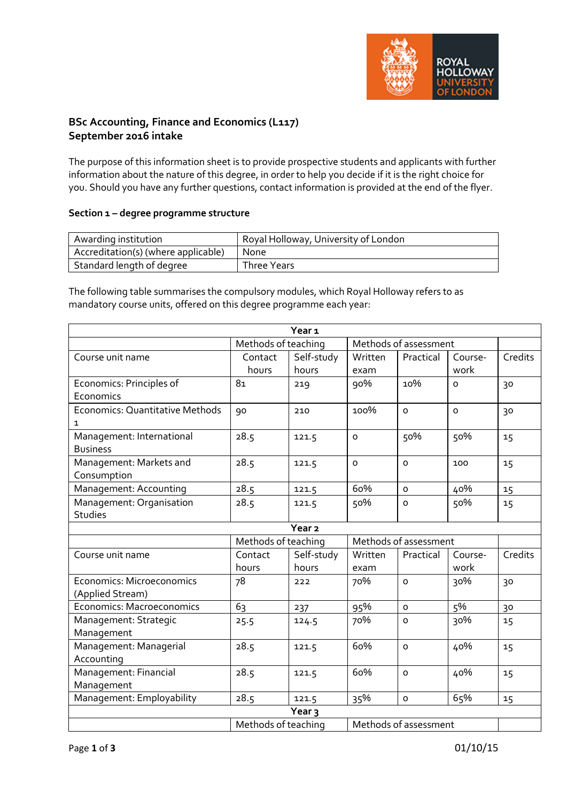

# **BSc Accounting, Finance and Economics (L117) September 2016 intake**

The purpose of this information sheet is to provide prospective students and applicants with further information about the nature of this degree, in order to help you decide if it is the right choice for you. Should you have any further questions, contact information is provided at the end of the flyer.

## **Section 1 – degree programme structure**

| Awarding institution                | Royal Holloway, University of London |
|-------------------------------------|--------------------------------------|
| Accreditation(s) (where applicable) | None                                 |
| Standard length of degree           | Three Years                          |

The following table summarises the compulsory modules, which Royal Holloway refers to as mandatory course units, offered on this degree programme each year:

|                                               |                     | Year <sub>1</sub>   |                       |                       |                 |         |
|-----------------------------------------------|---------------------|---------------------|-----------------------|-----------------------|-----------------|---------|
|                                               | Methods of teaching |                     |                       | Methods of assessment |                 |         |
| Course unit name                              | Contact<br>hours    | Self-study<br>hours | Written<br>exam       | Practical             | Course-<br>work | Credits |
| Economics: Principles of                      | 81                  | 219                 | 90%                   | 10%                   | $\Omega$        | 30      |
| Economics                                     |                     |                     |                       |                       |                 |         |
| <b>Economics: Quantitative Methods</b><br>1   | 90                  | 210                 | 100%                  | $\mathsf{o}$          | $\mathsf{o}$    | 30      |
| Management: International<br><b>Business</b>  | 28.5                | 121.5               | $\circ$               | 50%                   | 50%             | 15      |
| Management: Markets and<br>Consumption        | 28.5                | 121.5               | $\mathsf{o}$          | $\mathsf{o}$          | 100             | 15      |
| Management: Accounting                        | 28.5                | 121.5               | 60%                   | $\mathsf{o}\xspace$   | 40%             | 15      |
| Management: Organisation<br><b>Studies</b>    | 28.5                | 121.5               | 50%                   | O                     | 50%             | 15      |
| Year <sub>2</sub>                             |                     |                     |                       |                       |                 |         |
|                                               |                     | Methods of teaching |                       | Methods of assessment |                 |         |
| Course unit name                              | Contact<br>hours    | Self-study<br>hours | Written<br>exam       | Practical             | Course-<br>work | Credits |
| Economics: Microeconomics<br>(Applied Stream) | 78                  | 222                 | 70%                   | $\mathsf{o}$          | 30%             | 30      |
| Economics: Macroeconomics                     | 63                  | 237                 | 95%                   | $\circ$               | 5%              | 30      |
| Management: Strategic<br>Management           | 25.5                | 124.5               | 70%                   | O                     | 30%             | 15      |
| Management: Managerial<br>Accounting          | 28.5                | 121.5               | 60%                   | $\mathsf{o}$          | 40%             | 15      |
| Management: Financial<br>Management           | 28.5                | 121.5               | 60%                   | $\circ$               | 40%             | 15      |
| Management: Employability                     | 28.5                | 121.5               | 35%                   | $\circ$               | 65%             | 15      |
| Year <sub>3</sub>                             |                     |                     |                       |                       |                 |         |
|                                               | Methods of teaching |                     | Methods of assessment |                       |                 |         |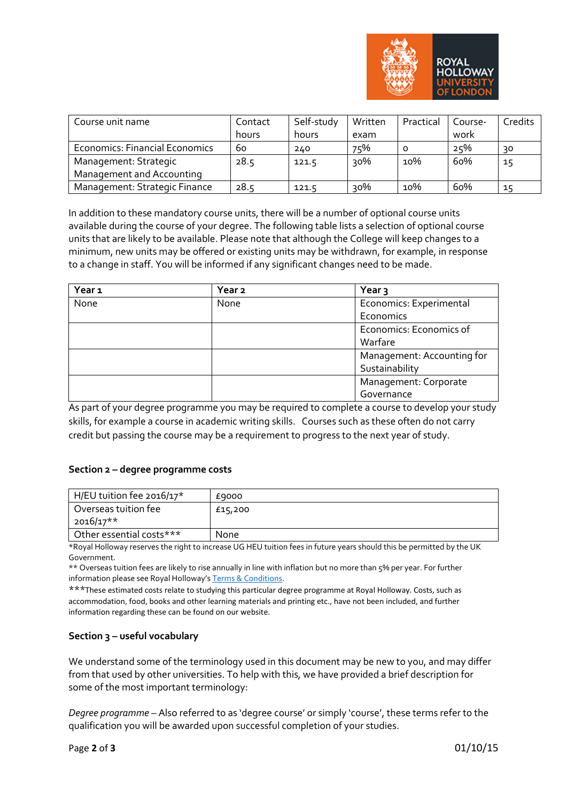

| Course unit name                      | Contact | Self-study | Written | Practical | Course- | Credits |
|---------------------------------------|---------|------------|---------|-----------|---------|---------|
|                                       | hours   | hours      | exam    |           | work    |         |
| <b>Economics: Financial Economics</b> | 60      | 240        | 75%     |           | 25%     | 30      |
| Management: Strategic                 | 28.5    | 121.5      | 30%     | 10%       | 60%     | 15      |
| Management and Accounting             |         |            |         |           |         |         |
| Management: Strategic Finance         | 28.5    | 121.5      | 30%     | 10%       | 60%     | 15      |

In addition to these mandatory course units, there will be a number of optional course units available during the course of your degree. The following table lists a selection of optional course units that are likely to be available. Please note that although the College will keep changes to a minimum, new units may be offered or existing units may be withdrawn, for example, in response to a change in staff. You will be informed if any significant changes need to be made.

| Year <sub>1</sub> | Year <sub>2</sub> | Year <sub>3</sub>          |
|-------------------|-------------------|----------------------------|
| None              | None              | Economics: Experimental    |
|                   |                   | Economics                  |
|                   |                   | Economics: Economics of    |
|                   |                   | Warfare                    |
|                   |                   | Management: Accounting for |
|                   |                   | Sustainability             |
|                   |                   | Management: Corporate      |
|                   |                   | Governance                 |

As part of your degree programme you may be required to complete a course to develop your study skills, for example a course in academic writing skills. Courses such as these often do not carry credit but passing the course may be a requirement to progress to the next year of study.

#### **Section 2 – degree programme costs**

| H/EU tuition fee 2016/17* | £9000   |
|---------------------------|---------|
| Overseas tuition fee      | £15,200 |
| 2016/17**                 |         |
| Other essential costs***  | None    |

\*Royal Holloway reserves the right to increase UG HEU tuition fees in future years should this be permitted by the UK Government.

\*\* Overseas tuition fees are likely to rise annually in line with inflation but no more than 5% per year. For further information please see Royal Holloway's [Terms & Conditions.](https://www.royalholloway.ac.uk/studyhere/undergraduate/applying/admissionspolicy.aspx) 

\*\*\*These estimated costs relate to studying this particular degree programme at Royal Holloway. Costs, such as accommodation, food, books and other learning materials and printing etc., have not been included, and further information regarding these can be found on our website.

#### **Section 3 – useful vocabulary**

We understand some of the terminology used in this document may be new to you, and may differ from that used by other universities. To help with this, we have provided a brief description for some of the most important terminology:

*Degree programme* – Also referred to as 'degree course' or simply 'course', these terms refer to the qualification you will be awarded upon successful completion of your studies.